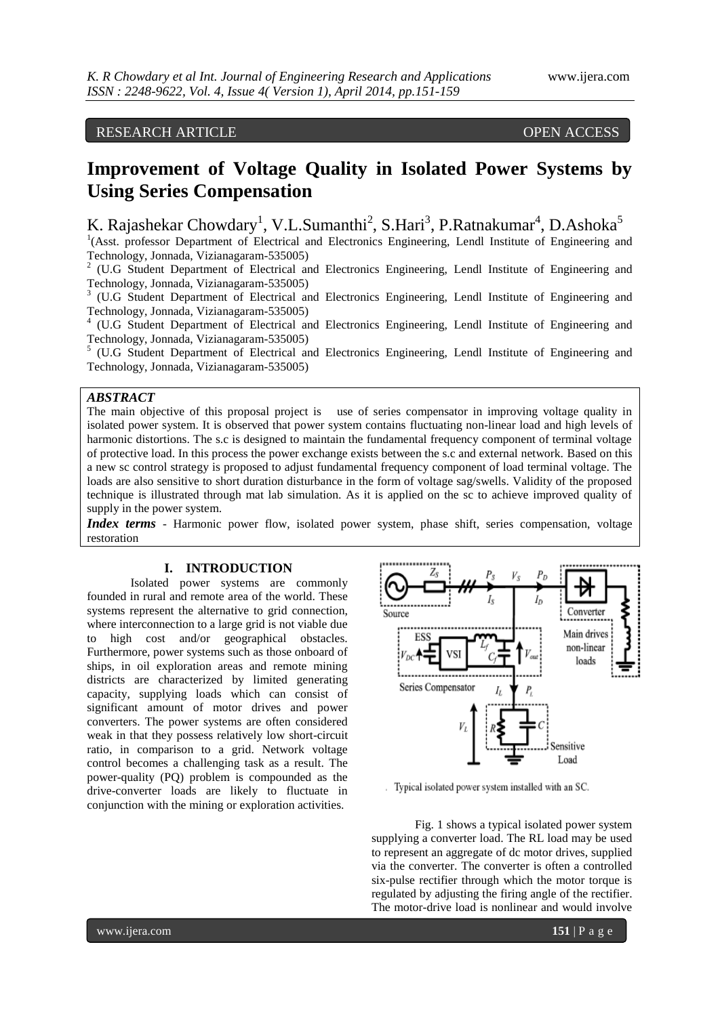# RESEARCH ARTICLE OPEN ACCESS

# **Improvement of Voltage Quality in Isolated Power Systems by Using Series Compensation**

K. Rajashekar Chowdary<sup>1</sup>, V.L.Sumanthi<sup>2</sup>, S.Hari<sup>3</sup>, P.Ratnakumar<sup>4</sup>, D.Ashoka<sup>5</sup>

<sup>1</sup>(Asst. professor Department of Electrical and Electronics Engineering, Lendl Institute of Engineering and Technology, Jonnada, Vizianagaram-535005)

<sup>2</sup> (U.G Student Department of Electrical and Electronics Engineering, Lendl Institute of Engineering and Technology, Jonnada, Vizianagaram-535005)

<sup>3</sup> (U.G Student Department of Electrical and Electronics Engineering, Lendl Institute of Engineering and Technology, Jonnada, Vizianagaram-535005)

4 (U.G Student Department of Electrical and Electronics Engineering, Lendl Institute of Engineering and Technology, Jonnada, Vizianagaram-535005)

<sup>5</sup> (U.G Student Department of Electrical and Electronics Engineering, Lendl Institute of Engineering and Technology, Jonnada, Vizianagaram-535005)

## *ABSTRACT*

The main objective of this proposal project is use of series compensator in improving voltage quality in isolated power system. It is observed that power system contains fluctuating non-linear load and high levels of harmonic distortions. The s.c is designed to maintain the fundamental frequency component of terminal voltage of protective load. In this process the power exchange exists between the s.c and external network. Based on this a new sc control strategy is proposed to adjust fundamental frequency component of load terminal voltage. The loads are also sensitive to short duration disturbance in the form of voltage sag/swells. Validity of the proposed technique is illustrated through mat lab simulation. As it is applied on the sc to achieve improved quality of supply in the power system.

*Index terms* - Harmonic power flow, isolated power system, phase shift, series compensation, voltage restoration

#### **I. INTRODUCTION**

Isolated power systems are commonly founded in rural and remote area of the world. These systems represent the alternative to grid connection, where interconnection to a large grid is not viable due to high cost and/or geographical obstacles. Furthermore, power systems such as those onboard of ships, in oil exploration areas and remote mining districts are characterized by limited generating capacity, supplying loads which can consist of significant amount of motor drives and power converters. The power systems are often considered weak in that they possess relatively low short-circuit ratio, in comparison to a grid. Network voltage control becomes a challenging task as a result. The power-quality (PQ) problem is compounded as the drive-converter loads are likely to fluctuate in conjunction with the mining or exploration activities.



Typical isolated power system installed with an SC.

Fig. 1 shows a typical isolated power system supplying a converter load. The RL load may be used to represent an aggregate of dc motor drives, supplied via the converter. The converter is often a controlled six-pulse rectifier through which the motor torque is regulated by adjusting the firing angle of the rectifier. The motor-drive load is nonlinear and would involve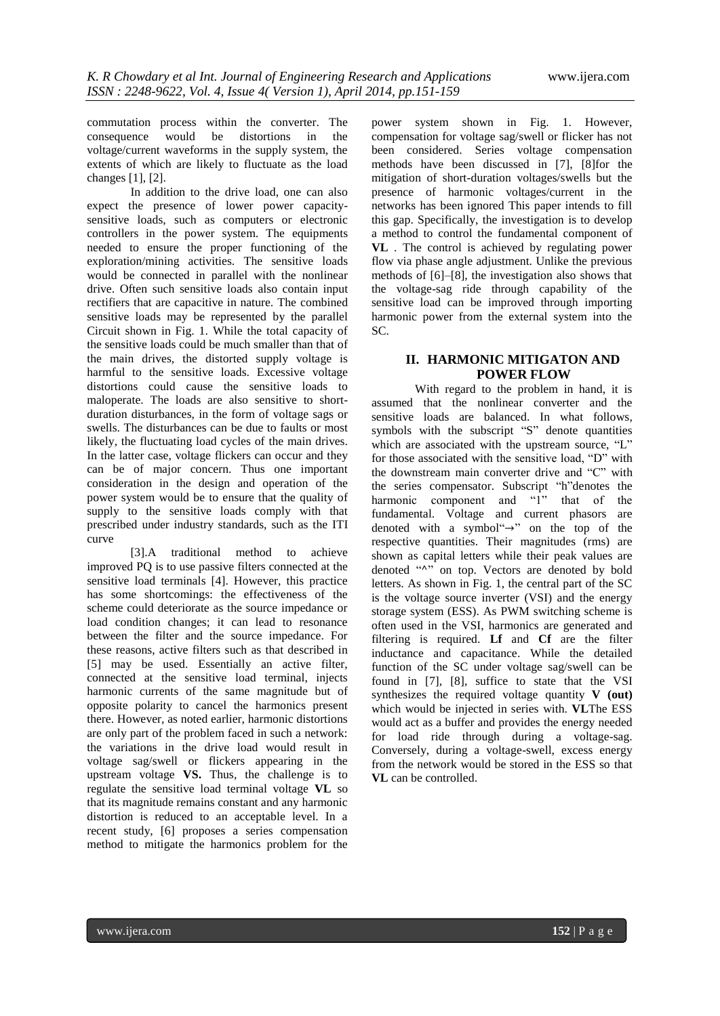commutation process within the converter. The consequence would be distortions in the voltage/current waveforms in the supply system, the extents of which are likely to fluctuate as the load changes [1], [2].

In addition to the drive load, one can also expect the presence of lower power capacitysensitive loads, such as computers or electronic controllers in the power system. The equipments needed to ensure the proper functioning of the exploration/mining activities. The sensitive loads would be connected in parallel with the nonlinear drive. Often such sensitive loads also contain input rectifiers that are capacitive in nature. The combined sensitive loads may be represented by the parallel Circuit shown in Fig. 1. While the total capacity of the sensitive loads could be much smaller than that of the main drives, the distorted supply voltage is harmful to the sensitive loads. Excessive voltage distortions could cause the sensitive loads to maloperate. The loads are also sensitive to shortduration disturbances, in the form of voltage sags or swells. The disturbances can be due to faults or most likely, the fluctuating load cycles of the main drives. In the latter case, voltage flickers can occur and they can be of major concern. Thus one important consideration in the design and operation of the power system would be to ensure that the quality of supply to the sensitive loads comply with that prescribed under industry standards, such as the ITI curve

[3].A traditional method to achieve improved PQ is to use passive filters connected at the sensitive load terminals [4]. However, this practice has some shortcomings: the effectiveness of the scheme could deteriorate as the source impedance or load condition changes; it can lead to resonance between the filter and the source impedance. For these reasons, active filters such as that described in [5] may be used. Essentially an active filter, connected at the sensitive load terminal, injects harmonic currents of the same magnitude but of opposite polarity to cancel the harmonics present there. However, as noted earlier, harmonic distortions are only part of the problem faced in such a network: the variations in the drive load would result in voltage sag/swell or flickers appearing in the upstream voltage **VS.** Thus, the challenge is to regulate the sensitive load terminal voltage **VL** so that its magnitude remains constant and any harmonic distortion is reduced to an acceptable level. In a recent study, [6] proposes a series compensation method to mitigate the harmonics problem for the

power system shown in Fig. 1. However, compensation for voltage sag/swell or flicker has not been considered. Series voltage compensation methods have been discussed in [7], [8]for the mitigation of short-duration voltages/swells but the presence of harmonic voltages/current in the networks has been ignored This paper intends to fill this gap. Specifically, the investigation is to develop a method to control the fundamental component of **VL** . The control is achieved by regulating power flow via phase angle adjustment. Unlike the previous methods of [6]–[8], the investigation also shows that the voltage-sag ride through capability of the sensitive load can be improved through importing harmonic power from the external system into the SC.

## **II. HARMONIC MITIGATON AND POWER FLOW**

With regard to the problem in hand, it is assumed that the nonlinear converter and the sensitive loads are balanced. In what follows, symbols with the subscript "S" denote quantities which are associated with the upstream source, "L" for those associated with the sensitive load, "D" with the downstream main converter drive and  $C$ " with the series compensator. Subscript "h"denotes the harmonic component and "1" that of the fundamental. Voltage and current phasors are denoted with a symbol" $\rightarrow$ " on the top of the respective quantities. Their magnitudes (rms) are shown as capital letters while their peak values are denoted "A" on top. Vectors are denoted by bold letters. As shown in Fig. 1, the central part of the SC is the voltage source inverter (VSI) and the energy storage system (ESS). As PWM switching scheme is often used in the VSI, harmonics are generated and filtering is required. **Lf** and **Cf** are the filter inductance and capacitance. While the detailed function of the SC under voltage sag/swell can be found in [7], [8], suffice to state that the VSI synthesizes the required voltage quantity **V (out)** which would be injected in series with. **VL**The ESS would act as a buffer and provides the energy needed for load ride through during a voltage-sag. Conversely, during a voltage-swell, excess energy from the network would be stored in the ESS so that **VL** can be controlled.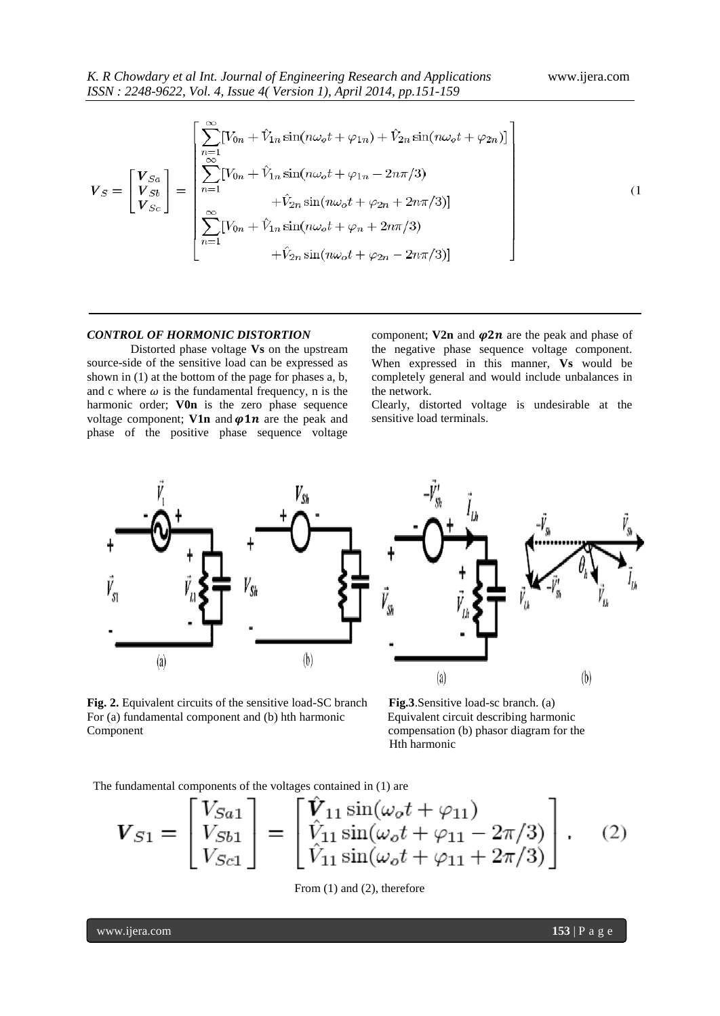$$
V_{S} = \begin{bmatrix} V_{Sa} \\ V_{Sc} \\ V_{Sc} \end{bmatrix} = \begin{bmatrix} \sum_{n=1}^{\infty} [V_{0n} + \hat{V}_{1n} \sin(n\omega_{o}t + \varphi_{1n}) + \hat{V}_{2n} \sin(n\omega_{o}t + \varphi_{2n})] \\ \sum_{n=1}^{\infty} [V_{0n} + \hat{V}_{1n} \sin(n\omega_{o}t + \varphi_{1n} - 2n\pi/3) \\ + \hat{V}_{2n} \sin(n\omega_{o}t + \varphi_{2n} + 2n\pi/3)] \\ \sum_{n=1}^{\infty} [V_{0n} + \hat{V}_{1n} \sin(n\omega_{o}t + \varphi_{n} + 2n\pi/3) \\ + \hat{V}_{2n} \sin(n\omega_{o}t + \varphi_{2n} - 2n\pi/3)] \end{bmatrix}
$$
(1)

### *CONTROL OF HORMONIC DISTORTION*

Distorted phase voltage **Vs** on the upstream source-side of the sensitive load can be expressed as shown in (1) at the bottom of the page for phases a, b, and c where  $\omega$  is the fundamental frequency, n is the harmonic order; **V0n** is the zero phase sequence voltage component; **V1n** and  $\varphi$ **1n** are the peak and phase of the positive phase sequence voltage

component; **V2n** and  $\varphi$ 2n are the peak and phase of the negative phase sequence voltage component. When expressed in this manner, **Vs** would be completely general and would include unbalances in the network.

Clearly, distorted voltage is undesirable at the sensitive load terminals.



 $(a)$  $(b)$ 

**Fig. 2.** Equivalent circuits of the sensitive load-SC branch **Fig.3**.Sensitive load-sc branch. (a) For (a) fundamental component and (b) hth harmonic Equivalent circuit describing harmonic Component compensation (b) phasor diagram for the



The fundamental components of the voltages contained in (1) are

$$
\boldsymbol{V}_{S1} = \begin{bmatrix} V_{Sa1} \\ V_{Sb1} \\ V_{Sc1} \end{bmatrix} = \begin{bmatrix} \hat{V}_{11} \sin(\omega_o t + \varphi_{11}) \\ \hat{V}_{11} \sin(\omega_o t + \varphi_{11} - 2\pi/3) \\ \hat{V}_{11} \sin(\omega_o t + \varphi_{11} + 2\pi/3) \end{bmatrix} . \quad (2)
$$

From (1) and (2), therefore

www.ijera.com **153** | P a g e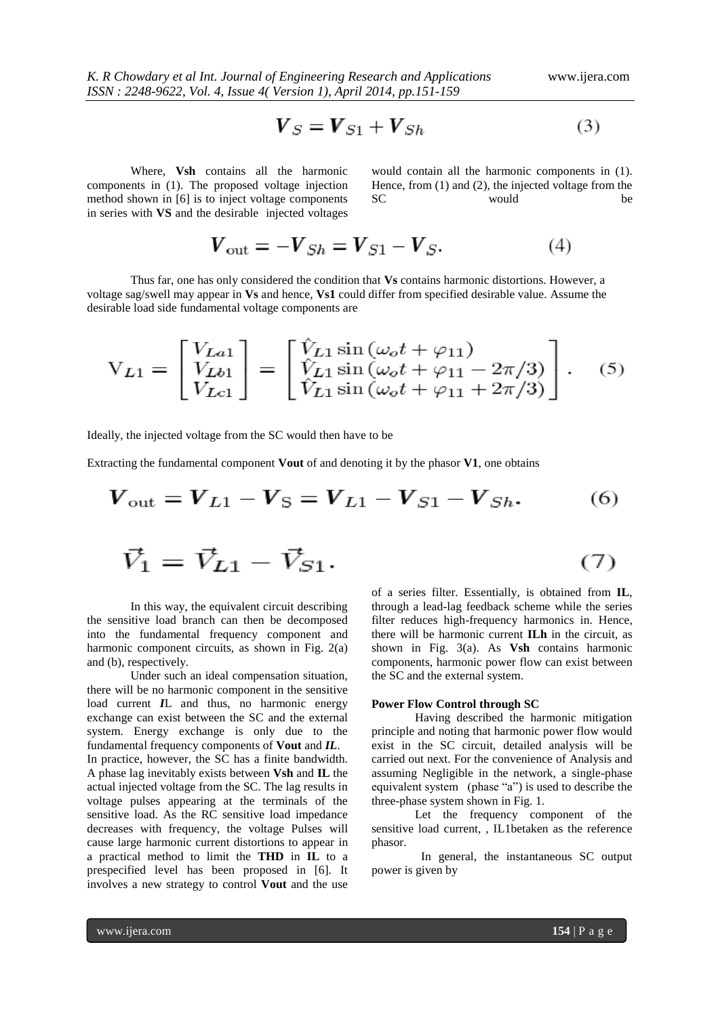$$
\boldsymbol{V}_S = \boldsymbol{V}_{S1} + \boldsymbol{V}_{Sh} \tag{3}
$$

Where, **Vsh** contains all the harmonic components in (1). The proposed voltage injection method shown in [6] is to inject voltage components in series with **VS** and the desirable injected voltages would contain all the harmonic components in (1). Hence, from (1) and (2), the injected voltage from the SC would be

$$
V_{\text{out}} = -V_{Sh} = V_{S1} - V_S. \tag{4}
$$

Thus far, one has only considered the condition that **Vs** contains harmonic distortions. However, a voltage sag/swell may appear in **Vs** and hence, **Vs1** could differ from specified desirable value. Assume the desirable load side fundamental voltage components are

$$
V_{L1} = \begin{bmatrix} V_{La1} \\ V_{Lb1} \\ V_{Lc1} \end{bmatrix} = \begin{bmatrix} \hat{V}_{L1} \sin(\omega_o t + \varphi_{11}) \\ \hat{V}_{L1} \sin(\omega_o t + \varphi_{11} - 2\pi/3) \\ \hat{V}_{L1} \sin(\omega_o t + \varphi_{11} + 2\pi/3) \end{bmatrix}.
$$
 (5)

Ideally, the injected voltage from the SC would then have to be

Extracting the fundamental component **Vout** of and denoting it by the phasor **V1**, one obtains

$$
V_{\text{out}} = V_{L1} - V_{\text{S}} = V_{L1} - V_{S1} - V_{Sh}.
$$
 (6)  

$$
\vec{V}_1 = \vec{V}_{L1} - \vec{V}_{S1}.
$$
 (7)

In this way, the equivalent circuit describing the sensitive load branch can then be decomposed into the fundamental frequency component and harmonic component circuits, as shown in Fig. 2(a) and (b), respectively.

Under such an ideal compensation situation, there will be no harmonic component in the sensitive load current *I*L and thus, no harmonic energy exchange can exist between the SC and the external system. Energy exchange is only due to the fundamental frequency components of **Vout** and *IL*. In practice, however, the SC has a finite bandwidth. A phase lag inevitably exists between **Vsh** and **IL** the actual injected voltage from the SC. The lag results in voltage pulses appearing at the terminals of the sensitive load. As the RC sensitive load impedance decreases with frequency, the voltage Pulses will cause large harmonic current distortions to appear in a practical method to limit the **THD** in **IL** to a prespecified level has been proposed in [6]. It involves a new strategy to control **Vout** and the use

of a series filter. Essentially, is obtained from **IL**, through a lead-lag feedback scheme while the series filter reduces high-frequency harmonics in. Hence, there will be harmonic current **ILh** in the circuit, as shown in Fig. 3(a). As **Vsh** contains harmonic components, harmonic power flow can exist between the SC and the external system.

#### **Power Flow Control through SC**

Having described the harmonic mitigation principle and noting that harmonic power flow would exist in the SC circuit, detailed analysis will be carried out next. For the convenience of Analysis and assuming Negligible in the network, a single-phase equivalent system (phase "a") is used to describe the three-phase system shown in Fig. 1.

Let the frequency component of the sensitive load current, , IL1betaken as the reference phasor.

 In general, the instantaneous SC output power is given by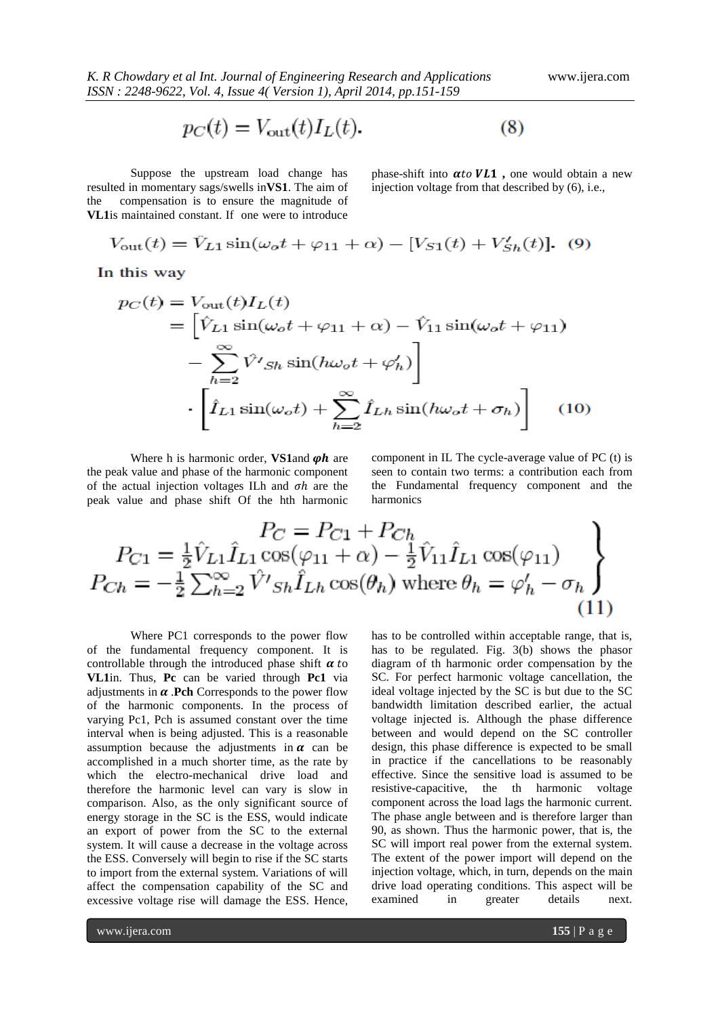$$
p_C(t) = V_{\text{out}}(t)I_L(t).
$$
 (8)

Suppose the upstream load change has resulted in momentary sags/swells in**VS1**. The aim of the compensation is to ensure the magnitude of **VL1**is maintained constant. If one were to introduce

phase-shift into  $\alpha$ to  $VL1$ , one would obtain a new injection voltage from that described by (6), i.e.,

$$
V_{\text{out}}(t) = \hat{V}_{L1}\sin(\omega_o t + \varphi_{11} + \alpha) - [V_{S1}(t) + V'_{Sh}(t)]. \tag{9}
$$

In this way

$$
p_C(t) = V_{\text{out}}(t)I_L(t)
$$
  
=  $\left[\hat{V}_{L1}\sin(\omega_o t + \varphi_{11} + \alpha) - \hat{V}_{11}\sin(\omega_o t + \varphi_{11})\right]$   

$$
-\sum_{h=2}^{\infty} \hat{V}'s_h\sin(h\omega_o t + \varphi'_h)
$$
  

$$
\cdot \left[\hat{I}_{L1}\sin(\omega_o t) + \sum_{h=2}^{\infty} \hat{I}_{Lh}\sin(h\omega_o t + \sigma_h)\right]
$$
(10)

Where h is harmonic order, **VS1**and  $\varphi h$  are the peak value and phase of the harmonic component of the actual injection voltages ILh and  $\sigma h$  are the peak value and phase shift Of the hth harmonic component in IL The cycle-average value of PC (t) is seen to contain two terms: a contribution each from the Fundamental frequency component and the harmonics

$$
P_{C1} = \frac{1}{2} \hat{V}_{L1} \hat{I}_{L1} \cos(\varphi_{11} + \alpha) - \frac{1}{2} \hat{V}_{11} \hat{I}_{L1} \cos(\varphi_{11})
$$
  
\n
$$
P_{Ch} = -\frac{1}{2} \sum_{h=2}^{\infty} \hat{V}'_{Sh} \hat{I}_{Lh} \cos(\theta_h) \text{ where } \theta_h = \varphi'_h - \sigma_h
$$
\n(11)

Where PC1 corresponds to the power flow of the fundamental frequency component. It is controllable through the introduced phase shift  $\alpha$  to **VL1**in. Thus, **Pc** can be varied through **Pc1** via adjustments in  $\alpha$ . Pch Corresponds to the power flow of the harmonic components. In the process of varying Pc1, Pch is assumed constant over the time interval when is being adjusted. This is a reasonable assumption because the adjustments in  $\alpha$  can be accomplished in a much shorter time, as the rate by which the electro-mechanical drive load and therefore the harmonic level can vary is slow in comparison. Also, as the only significant source of energy storage in the SC is the ESS, would indicate an export of power from the SC to the external system. It will cause a decrease in the voltage across the ESS. Conversely will begin to rise if the SC starts to import from the external system. Variations of will affect the compensation capability of the SC and excessive voltage rise will damage the ESS. Hence,

has to be controlled within acceptable range, that is, has to be regulated. Fig. 3(b) shows the phasor diagram of th harmonic order compensation by the SC. For perfect harmonic voltage cancellation, the ideal voltage injected by the SC is but due to the SC bandwidth limitation described earlier, the actual voltage injected is. Although the phase difference between and would depend on the SC controller design, this phase difference is expected to be small in practice if the cancellations to be reasonably effective. Since the sensitive load is assumed to be resistive-capacitive, the th harmonic voltage component across the load lags the harmonic current. The phase angle between and is therefore larger than 90, as shown. Thus the harmonic power, that is, the SC will import real power from the external system. The extent of the power import will depend on the injection voltage, which, in turn, depends on the main drive load operating conditions. This aspect will be examined in greater details next.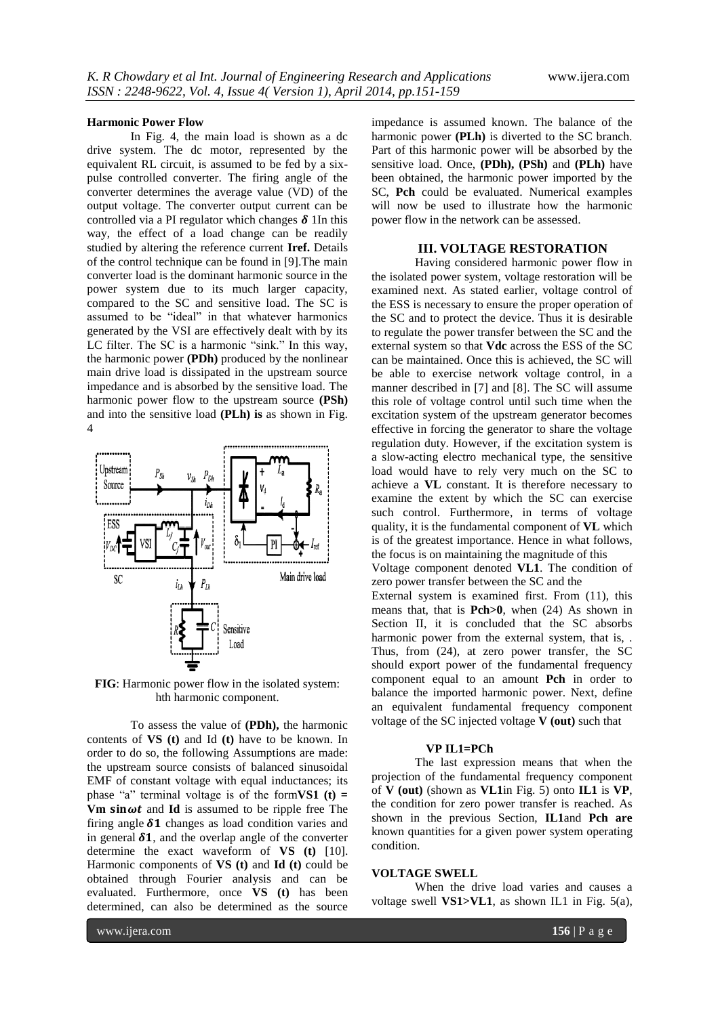#### **Harmonic Power Flow**

In Fig. 4, the main load is shown as a dc drive system. The dc motor, represented by the equivalent RL circuit, is assumed to be fed by a sixpulse controlled converter. The firing angle of the converter determines the average value (VD) of the output voltage. The converter output current can be controlled via a PI regulator which changes  $\delta$  1In this way, the effect of a load change can be readily studied by altering the reference current **Iref.** Details of the control technique can be found in [9].The main converter load is the dominant harmonic source in the power system due to its much larger capacity, compared to the SC and sensitive load. The SC is assumed to be "ideal" in that whatever harmonics generated by the VSI are effectively dealt with by its LC filter. The SC is a harmonic "sink." In this way, the harmonic power **(PDh)** produced by the nonlinear main drive load is dissipated in the upstream source impedance and is absorbed by the sensitive load. The harmonic power flow to the upstream source **(PSh)** and into the sensitive load **(PLh) is** as shown in Fig. 4



**FIG**: Harmonic power flow in the isolated system: hth harmonic component.

To assess the value of **(PDh),** the harmonic contents of **VS (t)** and Id **(t)** have to be known. In order to do so, the following Assumptions are made: the upstream source consists of balanced sinusoidal EMF of constant voltage with equal inductances; its phase "a" terminal voltage is of the form**VS1** (t) = **Vm sin** $\omega t$  and **Id** is assumed to be ripple free The firing angle  $\delta 1$  changes as load condition varies and in general  $\delta$ 1, and the overlap angle of the converter determine the exact waveform of **VS (t)** [10]. Harmonic components of **VS (t)** and **Id (t)** could be obtained through Fourier analysis and can be evaluated. Furthermore, once **VS (t)** has been determined, can also be determined as the source

impedance is assumed known. The balance of the harmonic power **(PLh)** is diverted to the SC branch. Part of this harmonic power will be absorbed by the sensitive load. Once, **(PDh), (PSh)** and **(PLh)** have been obtained, the harmonic power imported by the SC, **Pch** could be evaluated. Numerical examples will now be used to illustrate how the harmonic power flow in the network can be assessed.

## **III. VOLTAGE RESTORATION**

Having considered harmonic power flow in the isolated power system, voltage restoration will be examined next. As stated earlier, voltage control of the ESS is necessary to ensure the proper operation of the SC and to protect the device. Thus it is desirable to regulate the power transfer between the SC and the external system so that **Vdc** across the ESS of the SC can be maintained. Once this is achieved, the SC will be able to exercise network voltage control, in a manner described in [7] and [8]. The SC will assume this role of voltage control until such time when the excitation system of the upstream generator becomes effective in forcing the generator to share the voltage regulation duty. However, if the excitation system is a slow-acting electro mechanical type, the sensitive load would have to rely very much on the SC to achieve a **VL** constant. It is therefore necessary to examine the extent by which the SC can exercise such control. Furthermore, in terms of voltage quality, it is the fundamental component of **VL** which is of the greatest importance. Hence in what follows, the focus is on maintaining the magnitude of this Voltage component denoted **VL1**. The condition of zero power transfer between the SC and the External system is examined first. From (11), this means that, that is **Pch>0**, when (24) As shown in Section II, it is concluded that the SC absorbs harmonic power from the external system, that is, . Thus, from (24), at zero power transfer, the SC

should export power of the fundamental frequency component equal to an amount **Pch** in order to balance the imported harmonic power. Next, define an equivalent fundamental frequency component voltage of the SC injected voltage **V (out)** such that

## **VP IL1=PCh**

The last expression means that when the projection of the fundamental frequency component of **V (out)** (shown as **VL1**in Fig. 5) onto **IL1** is **VP**, the condition for zero power transfer is reached. As shown in the previous Section, **IL1**and **Pch are** known quantities for a given power system operating condition.

#### **VOLTAGE SWELL**

When the drive load varies and causes a voltage swell **VS1>VL1**, as shown IL1 in Fig. 5(a),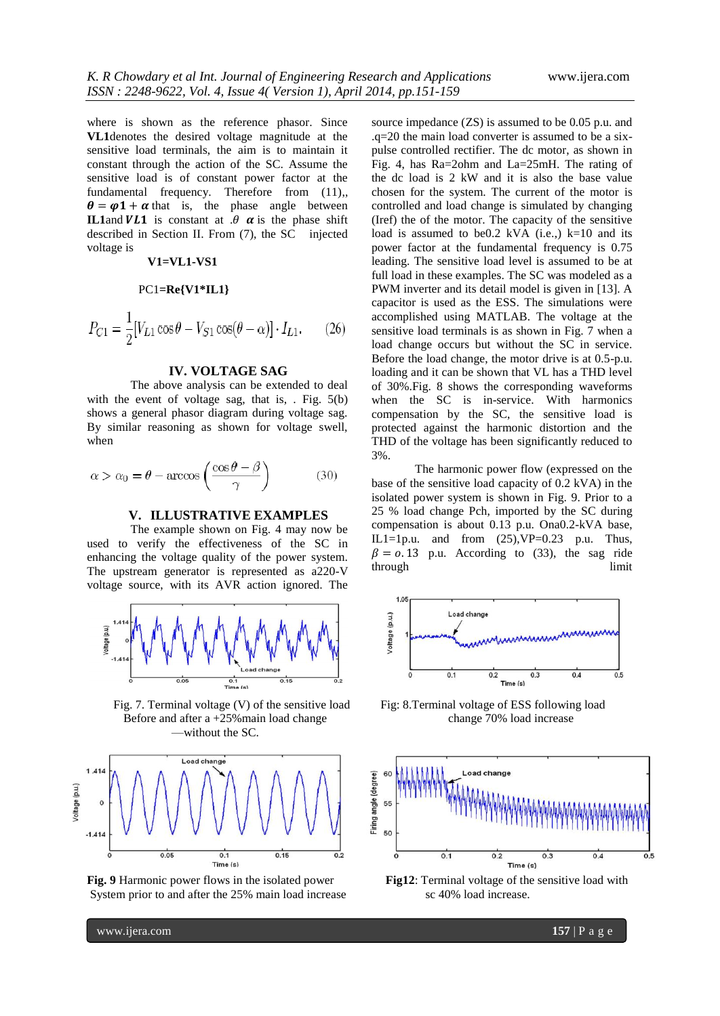where is shown as the reference phasor. Since **VL1**denotes the desired voltage magnitude at the sensitive load terminals, the aim is to maintain it constant through the action of the SC. Assume the sensitive load is of constant power factor at the fundamental frequency. Therefore from  $(11)$ ,  $\theta = \varphi \mathbf{1} + \alpha$  that is, the phase angle between **IL1**and  $VLI$  is constant at  $\theta$   $\alpha$  is the phase shift described in Section II. From (7), the SC injected voltage is

## **V1=VL1-VS1**

$$
PC1 = Re\{V1*IL1\}
$$

$$
P_{C1} = \frac{1}{2} [V_{L1} \cos \theta - V_{S1} \cos(\theta - \alpha)] \cdot I_{L1}.
$$
 (26)

## **IV. VOLTAGE SAG**

The above analysis can be extended to deal with the event of voltage sag, that is, . Fig.  $5(b)$ shows a general phasor diagram during voltage sag. By similar reasoning as shown for voltage swell, when

$$
\alpha > \alpha_0 = \theta - \arccos\left(\frac{\cos\theta - \beta}{\gamma}\right) \tag{30}
$$

### **V. ILLUSTRATIVE EXAMPLES**

The example shown on Fig. 4 may now be used to verify the effectiveness of the SC in enhancing the voltage quality of the power system. The upstream generator is represented as a220-V voltage source, with its AVR action ignored. The



Fig. 7. Terminal voltage (V) of the sensitive load Fig: 8.Terminal voltage of ESS following load Before and after a +25% main load change change change 70% load increase —without the SC.



System prior to and after the 25% main load increase sc 40% load increase.

source impedance (ZS) is assumed to be 0.05 p.u. and .q=20 the main load converter is assumed to be a sixpulse controlled rectifier. The dc motor, as shown in Fig. 4, has Ra=2ohm and La=25mH. The rating of the dc load is 2 kW and it is also the base value chosen for the system. The current of the motor is controlled and load change is simulated by changing (Iref) the of the motor. The capacity of the sensitive load is assumed to be0.2 kVA (i.e..)  $k=10$  and its power factor at the fundamental frequency is 0.75 leading. The sensitive load level is assumed to be at full load in these examples. The SC was modeled as a PWM inverter and its detail model is given in [13]. A capacitor is used as the ESS. The simulations were accomplished using MATLAB. The voltage at the sensitive load terminals is as shown in Fig. 7 when a load change occurs but without the SC in service. Before the load change, the motor drive is at 0.5-p.u. loading and it can be shown that VL has a THD level of 30%.Fig. 8 shows the corresponding waveforms when the SC is in-service. With harmonics compensation by the SC, the sensitive load is protected against the harmonic distortion and the THD of the voltage has been significantly reduced to 3%.

The harmonic power flow (expressed on the base of the sensitive load capacity of 0.2 kVA) in the isolated power system is shown in Fig. 9. Prior to a 25 % load change Pch, imported by the SC during compensation is about 0.13 p.u. Ona0.2-kVA base, IL1=1p.u. and from  $(25)$ , VP=0.23 p.u. Thus,  $\beta = 0.13$  p.u. According to (33), the sag ride through limit





**Fig. 9** Harmonic power flows in the isolated power **Fig12**: Terminal voltage of the sensitive load with

www.ijera.com **157** | P a g e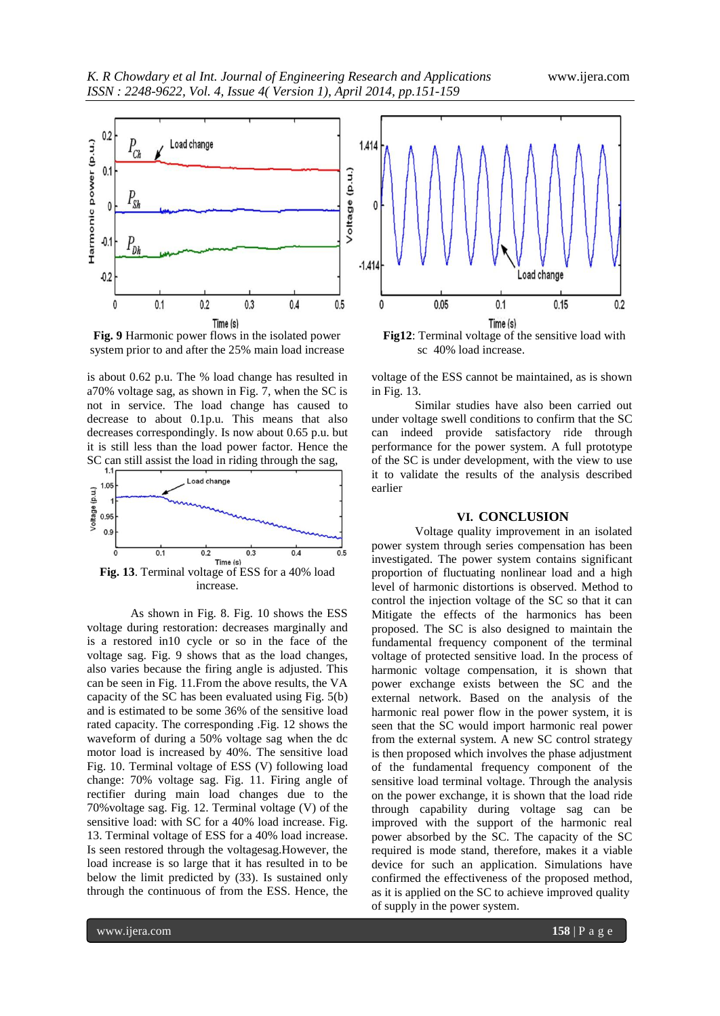

**Fig. 9** Harmonic power flows in the isolated power **Fig12**: Terminal voltage of the sensitive load with system prior to and after the 25% main load increase sc 40% load increase.

is about 0.62 p.u. The % load change has resulted in a70% voltage sag, as shown in Fig. 7, when the SC is not in service. The load change has caused to decrease to about 0.1p.u. This means that also decreases correspondingly. Is now about 0.65 p.u. but it is still less than the load power factor. Hence the SC can still assist the load in riding through the sag,



As shown in Fig. 8. Fig. 10 shows the ESS voltage during restoration: decreases marginally and is a restored in10 cycle or so in the face of the voltage sag. Fig. 9 shows that as the load changes, also varies because the firing angle is adjusted. This can be seen in Fig. 11.From the above results, the VA capacity of the SC has been evaluated using Fig. 5(b) and is estimated to be some 36% of the sensitive load rated capacity. The corresponding .Fig. 12 shows the waveform of during a 50% voltage sag when the dc motor load is increased by 40%. The sensitive load Fig. 10. Terminal voltage of ESS (V) following load change: 70% voltage sag. Fig. 11. Firing angle of rectifier during main load changes due to the 70%voltage sag. Fig. 12. Terminal voltage (V) of the sensitive load: with SC for a 40% load increase. Fig. 13. Terminal voltage of ESS for a 40% load increase. Is seen restored through the voltagesag.However, the load increase is so large that it has resulted in to be below the limit predicted by (33). Is sustained only through the continuous of from the ESS. Hence, the



voltage of the ESS cannot be maintained, as is shown in Fig. 13.

Similar studies have also been carried out under voltage swell conditions to confirm that the SC can indeed provide satisfactory ride through performance for the power system. A full prototype of the SC is under development, with the view to use it to validate the results of the analysis described earlier

#### **VI. CONCLUSION**

Voltage quality improvement in an isolated power system through series compensation has been investigated. The power system contains significant proportion of fluctuating nonlinear load and a high level of harmonic distortions is observed. Method to control the injection voltage of the SC so that it can Mitigate the effects of the harmonics has been proposed. The SC is also designed to maintain the fundamental frequency component of the terminal voltage of protected sensitive load. In the process of harmonic voltage compensation, it is shown that power exchange exists between the SC and the external network. Based on the analysis of the harmonic real power flow in the power system, it is seen that the SC would import harmonic real power from the external system. A new SC control strategy is then proposed which involves the phase adjustment of the fundamental frequency component of the sensitive load terminal voltage. Through the analysis on the power exchange, it is shown that the load ride through capability during voltage sag can be improved with the support of the harmonic real power absorbed by the SC. The capacity of the SC required is mode stand, therefore, makes it a viable device for such an application. Simulations have confirmed the effectiveness of the proposed method, as it is applied on the SC to achieve improved quality of supply in the power system.